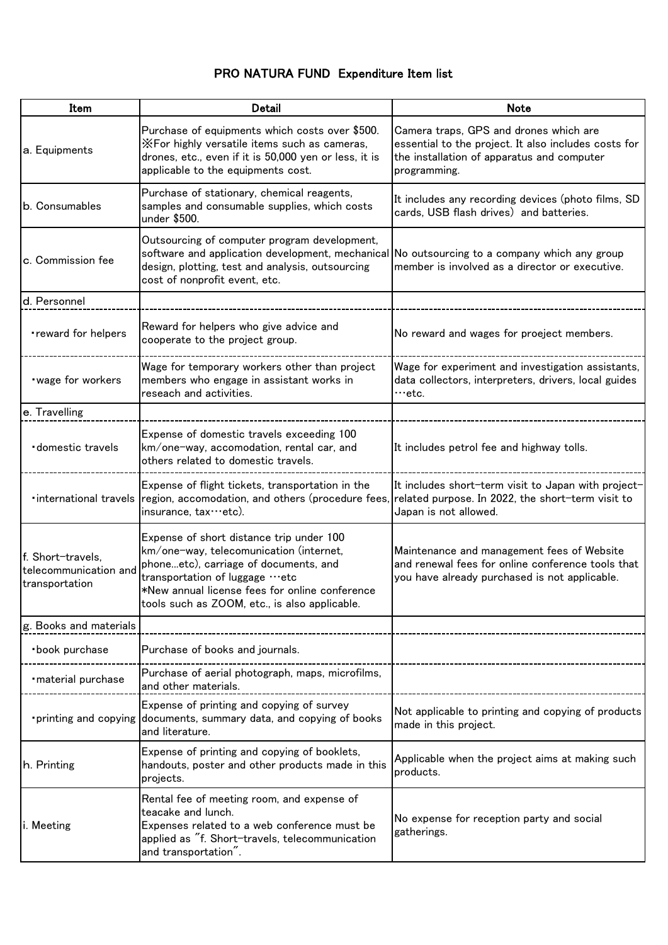## PRO NATURA FUND Expenditure Item list

| Item                                                         | <b>Detail</b>                                                                                                                                                                                                                                                     | <b>Note</b>                                                                                                                                                  |
|--------------------------------------------------------------|-------------------------------------------------------------------------------------------------------------------------------------------------------------------------------------------------------------------------------------------------------------------|--------------------------------------------------------------------------------------------------------------------------------------------------------------|
| a. Equipments                                                | Purchase of equipments which costs over \$500.<br>XFor highly versatile items such as cameras,<br>drones, etc., even if it is 50,000 yen or less, it is<br>applicable to the equipments cost.                                                                     | Camera traps, GPS and drones which are<br>essential to the project. It also includes costs for<br>the installation of apparatus and computer<br>programming. |
| b. Consumables                                               | Purchase of stationary, chemical reagents,<br>samples and consumable supplies, which costs<br>under \$500.                                                                                                                                                        | It includes any recording devices (photo films, SD<br>cards, USB flash drives) and batteries.                                                                |
| c. Commission fee                                            | Outsourcing of computer program development,<br>software and application development, mechanical No outsourcing to a company which any group<br>design, plotting, test and analysis, outsourcing<br>cost of nonprofit event, etc.                                 | member is involved as a director or executive.                                                                                                               |
| d. Personnel                                                 |                                                                                                                                                                                                                                                                   |                                                                                                                                                              |
| •reward for helpers                                          | Reward for helpers who give advice and<br>cooperate to the project group.                                                                                                                                                                                         | No reward and wages for proeject members.                                                                                                                    |
| wage for workers                                             | Wage for temporary workers other than project<br>members who engage in assistant works in<br>reseach and activities.                                                                                                                                              | Wage for experiment and investigation assistants,<br>data collectors, interpreters, drivers, local guides<br>…etc.                                           |
| e. Travelling                                                |                                                                                                                                                                                                                                                                   |                                                                                                                                                              |
| domestic travels                                             | Expense of domestic travels exceeding 100<br>km/one-way, accomodation, rental car, and<br>others related to domestic travels.                                                                                                                                     | It includes petrol fee and highway tolls.                                                                                                                    |
| · international travels                                      | Expense of flight tickets, transportation in the<br>region, accomodation, and others (procedure fees, related purpose. In 2022, the short-term visit to<br>insurance, tax…etc).                                                                                   | It includes short-term visit to Japan with project-<br>Japan is not allowed.                                                                                 |
| f. Short-travels,<br>telecommunication and<br>transportation | Expense of short distance trip under 100<br>km/one-way, telecomunication (internet,<br>phoneetc), carriage of documents, and<br>transportation of luggage …etc<br>*New annual license fees for online conference<br>tools such as ZOOM, etc., is also applicable. | Maintenance and management fees of Website<br>and renewal fees for online conference tools that<br>you have already purchased is not applicable.             |
| g. Books and materials                                       |                                                                                                                                                                                                                                                                   |                                                                                                                                                              |
| ·book purchase                                               | Purchase of books and journals.                                                                                                                                                                                                                                   |                                                                                                                                                              |
| · material purchase                                          | Purchase of aerial photograph, maps, microfilms,<br>and other materials.                                                                                                                                                                                          |                                                                                                                                                              |
| • printing and copying                                       | Expense of printing and copying of survey<br>documents, summary data, and copying of books<br>and literature.                                                                                                                                                     | Not applicable to printing and copying of products<br>made in this project.                                                                                  |
| h. Printing                                                  | Expense of printing and copying of booklets,<br>handouts, poster and other products made in this<br>projects.                                                                                                                                                     | Applicable when the project aims at making such<br>products.                                                                                                 |
| i. Meeting                                                   | Rental fee of meeting room, and expense of<br>teacake and lunch.<br>Expenses related to a web conference must be<br>applied as "f. Short-travels, telecommunication<br>and transportation".                                                                       | No expense for reception party and social<br>gatherings.                                                                                                     |